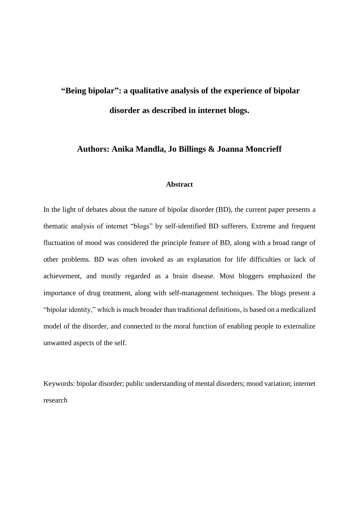# **"Being bipolar": a qualitative analysis of the experience of bipolar disorder as described in internet blogs.**

# **Authors: Anika Mandla, Jo Billings & Joanna Moncrieff**

# **Abstract**

In the light of debates about the nature of bipolar disorder (BD), the current paper presents a thematic analysis of internet "blogs" by self-identified BD sufferers. Extreme and frequent fluctuation of mood was considered the principle feature of BD, along with a broad range of other problems. BD was often invoked as an explanation for life difficulties or lack of achievement, and mostly regarded as a brain disease. Most bloggers emphasized the importance of drug treatment, along with self-management techniques. The blogs present a "bipolar identity," which is much broader than traditional definitions, is based on a medicalized model of the disorder, and connected to the moral function of enabling people to externalize unwanted aspects of the self.

Keywords: bipolar disorder; public understanding of mental disorders; mood variation; internet research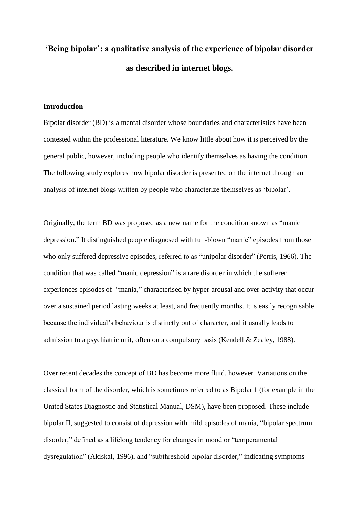# **'Being bipolar': a qualitative analysis of the experience of bipolar disorder as described in internet blogs.**

## **Introduction**

Bipolar disorder (BD) is a mental disorder whose boundaries and characteristics have been contested within the professional literature. We know little about how it is perceived by the general public, however, including people who identify themselves as having the condition. The following study explores how bipolar disorder is presented on the internet through an analysis of internet blogs written by people who characterize themselves as 'bipolar'.

Originally, the term BD was proposed as a new name for the condition known as "manic depression." It distinguished people diagnosed with full-blown "manic" episodes from those who only suffered depressive episodes, referred to as "unipolar disorder" (Perris, 1966). The condition that was called "manic depression" is a rare disorder in which the sufferer experiences episodes of "mania," characterised by hyper-arousal and over-activity that occur over a sustained period lasting weeks at least, and frequently months. It is easily recognisable because the individual's behaviour is distinctly out of character, and it usually leads to admission to a psychiatric unit, often on a compulsory basis (Kendell & Zealey, 1988).

Over recent decades the concept of BD has become more fluid, however. Variations on the classical form of the disorder, which is sometimes referred to as Bipolar 1 (for example in the United States Diagnostic and Statistical Manual, DSM), have been proposed. These include bipolar II, suggested to consist of depression with mild episodes of mania, "bipolar spectrum disorder," defined as a lifelong tendency for changes in mood or "temperamental dysregulation" (Akiskal, 1996), and "subthreshold bipolar disorder," indicating symptoms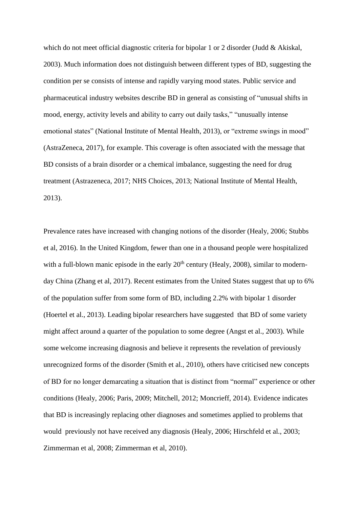which do not meet official diagnostic criteria for bipolar 1 or 2 disorder (Judd & Akiskal, 2003). Much information does not distinguish between different types of BD, suggesting the condition per se consists of intense and rapidly varying mood states. Public service and pharmaceutical industry websites describe BD in general as consisting of "unusual shifts in mood, energy, activity levels and ability to carry out daily tasks," "unusually intense emotional states" (National Institute of Mental Health, 2013), or "extreme swings in mood" (AstraZeneca, 2017), for example. This coverage is often associated with the message that BD consists of a brain disorder or a chemical imbalance, suggesting the need for drug treatment (Astrazeneca, 2017; NHS Choices, 2013; National Institute of Mental Health, 2013).

Prevalence rates have increased with changing notions of the disorder (Healy, 2006; Stubbs et al, 2016). In the United Kingdom, fewer than one in a thousand people were hospitalized with a full-blown manic episode in the early  $20<sup>th</sup>$  century (Healy, 2008), similar to modernday China (Zhang et al, 2017). Recent estimates from the United States suggest that up to 6% of the population suffer from some form of BD, including 2.2% with bipolar 1 disorder (Hoertel et al., 2013). Leading bipolar researchers have suggested that BD of some variety might affect around a quarter of the population to some degree (Angst et al., 2003). While some welcome increasing diagnosis and believe it represents the revelation of previously unrecognized forms of the disorder (Smith et al., 2010), others have criticised new concepts of BD for no longer demarcating a situation that is distinct from "normal" experience or other conditions (Healy, 2006; Paris, 2009; Mitchell, 2012; Moncrieff, 2014). Evidence indicates that BD is increasingly replacing other diagnoses and sometimes applied to problems that would previously not have received any diagnosis (Healy, 2006; Hirschfeld et al., 2003; Zimmerman et al, 2008; Zimmerman et al, 2010).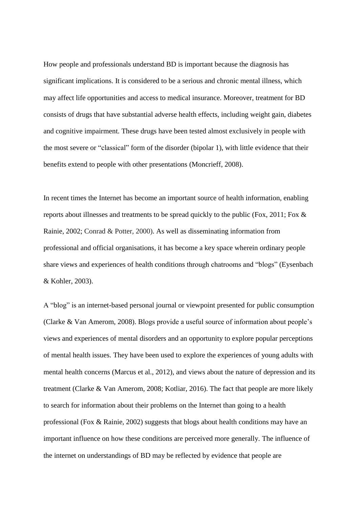How people and professionals understand BD is important because the diagnosis has significant implications. It is considered to be a serious and chronic mental illness, which may affect life opportunities and access to medical insurance. Moreover, treatment for BD consists of drugs that have substantial adverse health effects, including weight gain, diabetes and cognitive impairment. These drugs have been tested almost exclusively in people with the most severe or "classical" form of the disorder (bipolar 1), with little evidence that their benefits extend to people with other presentations (Moncrieff, 2008).

In recent times the Internet has become an important source of health information, enabling reports about illnesses and treatments to be spread quickly to the public (Fox, 2011; Fox & Rainie, 2002; Conrad & Potter, 2000). As well as disseminating information from professional and official organisations, it has become a key space wherein ordinary people share views and experiences of health conditions through chatrooms and "blogs" (Eysenbach & Kohler, 2003).

A "blog" is an internet-based personal journal or viewpoint presented for public consumption (Clarke & Van Amerom, 2008). Blogs provide a useful source of information about people's views and experiences of mental disorders and an opportunity to explore popular perceptions of mental health issues. They have been used to explore the experiences of young adults with mental health concerns (Marcus et al., 2012), and views about the nature of depression and its treatment (Clarke & Van Amerom, 2008; Kotliar, 2016). The fact that people are more likely to search for information about their problems on the Internet than going to a health professional (Fox & Rainie, 2002) suggests that blogs about health conditions may have an important influence on how these conditions are perceived more generally. The influence of the internet on understandings of BD may be reflected by evidence that people are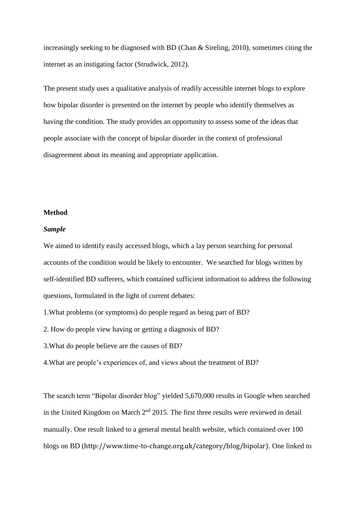increasingly seeking to be diagnosed with BD (Chan & Sireling, 2010), sometimes citing the internet as an instigating factor (Strudwick, 2012).

The present study uses a qualitative analysis of readily accessible internet blogs to explore how bipolar disorder is presented on the internet by people who identify themselves as having the condition. The study provides an opportunity to assess some of the ideas that people associate with the concept of bipolar disorder in the context of professional disagreement about its meaning and appropriate application.

## **Method**

## *Sample*

We aimed to identify easily accessed blogs, which a lay person searching for personal accounts of the condition would be likely to encounter. We searched for blogs written by self-identified BD sufferers, which contained sufficient information to address the following questions, formulated in the light of current debates:

1.What problems (or symptoms) do people regard as being part of BD?

2. How do people view having or getting a diagnosis of BD?

3.What do people believe are the causes of BD?

4.What are people's experiences of, and views about the treatment of BD?

The search term "Bipolar disorder blog" yielded 5,670,000 results in Google when searched in the United Kingdom on March  $2<sup>nd</sup>$  2015. The first three results were reviewed in detail manually. One result linked to a general mental health website, which contained over 100 blogs on BD (http://www.time-to-change.org.uk/category/blog/bipolar). One linked to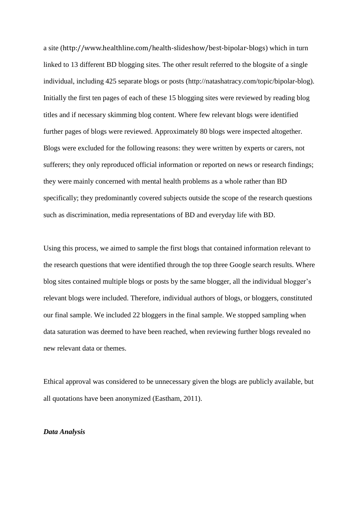a site (http://www.healthline.com/health-slideshow/best-bipolar-blogs) which in turn linked to 13 different BD blogging sites. The other result referred to the blogsite of a single individual, including 425 separate blogs or posts (http://natashatracy.com/topic/bipolar-blog). Initially the first ten pages of each of these 15 blogging sites were reviewed by reading blog titles and if necessary skimming blog content. Where few relevant blogs were identified further pages of blogs were reviewed. Approximately 80 blogs were inspected altogether. Blogs were excluded for the following reasons: they were written by experts or carers, not sufferers; they only reproduced official information or reported on news or research findings; they were mainly concerned with mental health problems as a whole rather than BD specifically; they predominantly covered subjects outside the scope of the research questions such as discrimination, media representations of BD and everyday life with BD.

Using this process, we aimed to sample the first blogs that contained information relevant to the research questions that were identified through the top three Google search results. Where blog sites contained multiple blogs or posts by the same blogger, all the individual blogger's relevant blogs were included. Therefore, individual authors of blogs, or bloggers, constituted our final sample. We included 22 bloggers in the final sample. We stopped sampling when data saturation was deemed to have been reached, when reviewing further blogs revealed no new relevant data or themes.

Ethical approval was considered to be unnecessary given the blogs are publicly available, but all quotations have been anonymized (Eastham, 2011).

## *Data Analysis*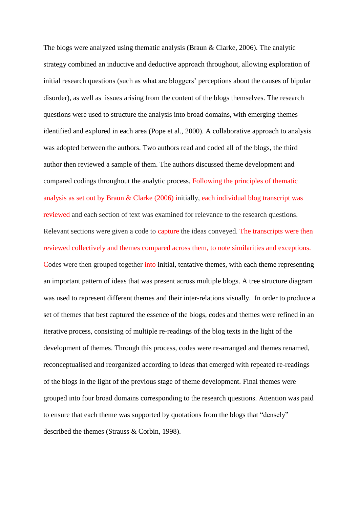The blogs were analyzed using thematic analysis (Braun & Clarke, 2006). The analytic strategy combined an inductive and deductive approach throughout, allowing exploration of initial research questions (such as what are bloggers' perceptions about the causes of bipolar disorder), as well as issues arising from the content of the blogs themselves. The research questions were used to structure the analysis into broad domains, with emerging themes identified and explored in each area (Pope et al., 2000). A collaborative approach to analysis was adopted between the authors. Two authors read and coded all of the blogs, the third author then reviewed a sample of them. The authors discussed theme development and compared codings throughout the analytic process. Following the principles of thematic analysis as set out by Braun & Clarke (2006) initially, each individual blog transcript was reviewed and each section of text was examined for relevance to the research questions. Relevant sections were given a code to capture the ideas conveyed. The transcripts were then reviewed collectively and themes compared across them, to note similarities and exceptions. Codes were then grouped together into initial, tentative themes, with each theme representing an important pattern of ideas that was present across multiple blogs. A tree structure diagram was used to represent different themes and their inter-relations visually. In order to produce a set of themes that best captured the essence of the blogs, codes and themes were refined in an iterative process, consisting of multiple re-readings of the blog texts in the light of the development of themes. Through this process, codes were re-arranged and themes renamed, reconceptualised and reorganized according to ideas that emerged with repeated re-readings of the blogs in the light of the previous stage of theme development. Final themes were grouped into four broad domains corresponding to the research questions. Attention was paid to ensure that each theme was supported by quotations from the blogs that "densely" described the themes (Strauss & Corbin, 1998).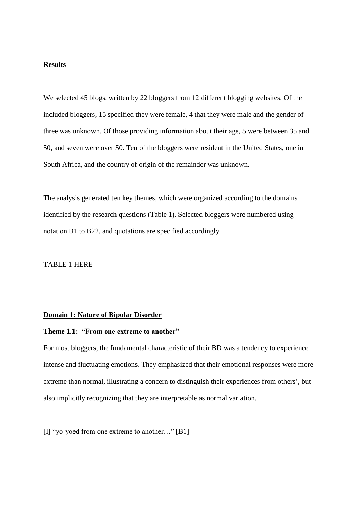# **Results**

We selected 45 blogs, written by 22 bloggers from 12 different blogging websites. Of the included bloggers, 15 specified they were female, 4 that they were male and the gender of three was unknown. Of those providing information about their age, 5 were between 35 and 50, and seven were over 50. Ten of the bloggers were resident in the United States, one in South Africa, and the country of origin of the remainder was unknown.

The analysis generated ten key themes, which were organized according to the domains identified by the research questions (Table 1). Selected bloggers were numbered using notation B1 to B22, and quotations are specified accordingly.

## TABLE 1 HERE

# **Domain 1: Nature of Bipolar Disorder**

## **Theme 1.1: "From one extreme to another"**

For most bloggers, the fundamental characteristic of their BD was a tendency to experience intense and fluctuating emotions. They emphasized that their emotional responses were more extreme than normal, illustrating a concern to distinguish their experiences from others', but also implicitly recognizing that they are interpretable as normal variation.

[I] "yo-yoed from one extreme to another…" [B1]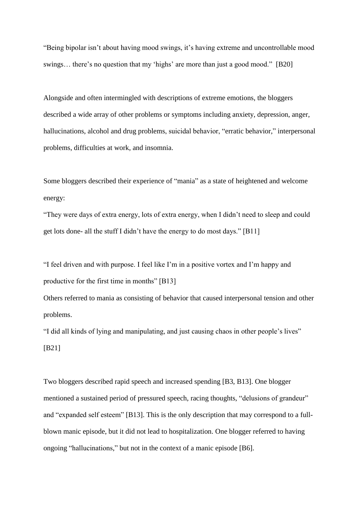"Being bipolar isn't about having mood swings, it's having extreme and uncontrollable mood swings… there's no question that my 'highs' are more than just a good mood." [B20]

Alongside and often intermingled with descriptions of extreme emotions, the bloggers described a wide array of other problems or symptoms including anxiety, depression, anger, hallucinations, alcohol and drug problems, suicidal behavior, "erratic behavior," interpersonal problems, difficulties at work, and insomnia.

Some bloggers described their experience of "mania" as a state of heightened and welcome energy:

"They were days of extra energy, lots of extra energy, when I didn't need to sleep and could get lots done- all the stuff I didn't have the energy to do most days." [B11]

"I feel driven and with purpose. I feel like I'm in a positive vortex and I'm happy and productive for the first time in months" [B13]

Others referred to mania as consisting of behavior that caused interpersonal tension and other problems.

"I did all kinds of lying and manipulating, and just causing chaos in other people's lives" [B21]

Two bloggers described rapid speech and increased spending [B3, B13]. One blogger mentioned a sustained period of pressured speech, racing thoughts, "delusions of grandeur" and "expanded self esteem" [B13]. This is the only description that may correspond to a fullblown manic episode, but it did not lead to hospitalization. One blogger referred to having ongoing "hallucinations," but not in the context of a manic episode [B6].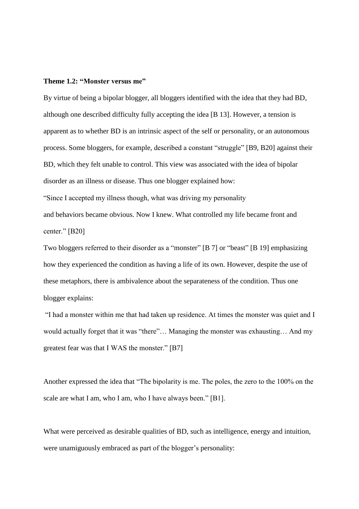#### **Theme 1.2: "Monster versus me"**

By virtue of being a bipolar blogger, all bloggers identified with the idea that they had BD, although one described difficulty fully accepting the idea [B 13]. However, a tension is apparent as to whether BD is an intrinsic aspect of the self or personality, or an autonomous process. Some bloggers, for example, described a constant "struggle" [B9, B20] against their BD, which they felt unable to control. This view was associated with the idea of bipolar disorder as an illness or disease. Thus one blogger explained how: "Since I accepted my illness though, what was driving my personality and behaviors became obvious. Now I knew. What controlled my life became front and center." [B20]

Two bloggers referred to their disorder as a "monster" [B 7] or "beast" [B 19] emphasizing how they experienced the condition as having a life of its own. However, despite the use of these metaphors, there is ambivalence about the separateness of the condition. Thus one blogger explains:

"I had a monster within me that had taken up residence. At times the monster was quiet and I would actually forget that it was "there"… Managing the monster was exhausting… And my greatest fear was that I WAS the monster." [B7]

Another expressed the idea that "The bipolarity is me. The poles, the zero to the 100% on the scale are what I am, who I am, who I have always been." [B1].

What were perceived as desirable qualities of BD, such as intelligence, energy and intuition, were unamiguously embraced as part of the blogger's personality: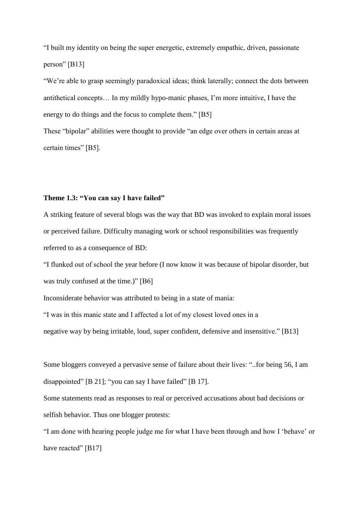"I built my identity on being the super energetic, extremely empathic, driven, passionate person" [B13]

"We're able to grasp seemingly paradoxical ideas; think laterally; connect the dots between antithetical concepts… In my mildly [hypo-manic](http://www.bphope.com/blog/my-beautiful-bipolar-brain/=http:/www.bphope.com/blog/i-have-concernshypomania/) phases, I'm more intuitive, I have the energy to do things and the focus to complete them." [B5]

These "bipolar" abilities were thought to provide "an edge over others in certain areas at certain times" [B5].

# **Theme 1.3: "You can say I have failed"**

A striking feature of several blogs was the way that BD was invoked to explain moral issues or perceived failure. Difficulty managing work or school responsibilities was frequently referred to as a consequence of BD:

"I flunked out of school the year before (I now know it was because of bipolar disorder, but was truly confused at the time.)" [B6]

Inconsiderate behavior was attributed to being in a state of mania:

"I was in this manic state and I affected a lot of my closest loved ones in a

negative way by being irritable, loud, super confident, defensive and insensitive." [B13]

Some bloggers conveyed a pervasive sense of failure about their lives: "..for being 56, I am disappointed" [B 21]; "you can say I have failed" [B 17].

Some statements read as responses to real or perceived accusations about bad decisions or selfish behavior. Thus one blogger protests:

"I am done with hearing people judge me for what I have been through and how I 'behave' or have reacted" [B17]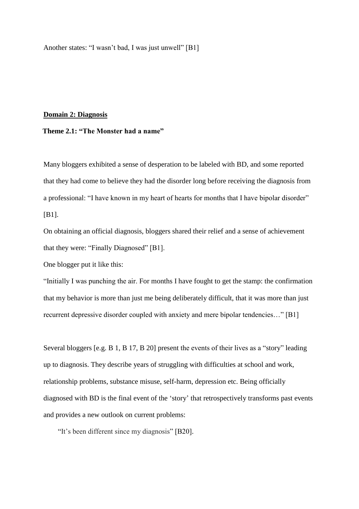Another states: "I wasn't bad, I was just unwell" [B1]

### **Domain 2: Diagnosis**

# **Theme 2.1: "The Monster had a name"**

Many bloggers exhibited a sense of desperation to be labeled with BD, and some reported that they had come to believe they had the disorder long before receiving the diagnosis from a professional: "I have known in my heart of hearts for months that I have bipolar disorder" [B1].

On obtaining an official diagnosis, bloggers shared their relief and a sense of achievement that they were: "Finally Diagnosed" [B1].

One blogger put it like this:

"Initially I was punching the air. For months I have fought to get the stamp: the confirmation that my behavior is more than just me being deliberately difficult, that it was more than just recurrent depressive disorder coupled with anxiety and mere bipolar tendencies…" [B1]

Several bloggers [e.g. B 1, B 17, B 20] present the events of their lives as a "story" leading up to diagnosis. They describe years of struggling with difficulties at school and work, relationship problems, substance misuse, self-harm, depression etc. Being officially diagnosed with BD is the final event of the 'story' that retrospectively transforms past events and provides a new outlook on current problems:

"It's been different since my diagnosis" [B20].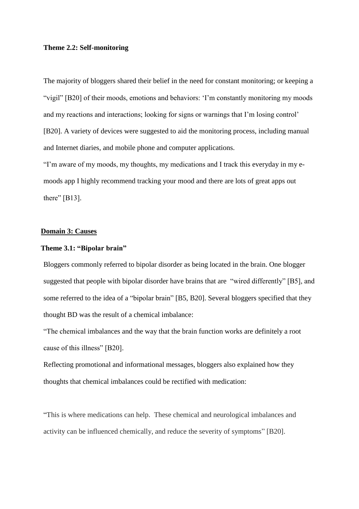## **Theme 2.2: Self-monitoring**

The majority of bloggers shared their belief in the need for constant monitoring; or keeping a "vigil" [B20] of their moods, emotions and behaviors: 'I'm constantly monitoring my moods and my reactions and interactions; looking for signs or warnings that I'm losing control' [B20]. A variety of devices were suggested to aid the monitoring process, including manual and Internet diaries, and mobile phone and computer applications.

"I'm aware of my moods, my thoughts, my medications and I track this everyday in my emoods app I highly recommend tracking your mood and there are lots of great apps out there" [B13].

## **Domain 3: Causes**

## **Theme 3.1: "Bipolar brain"**

Bloggers commonly referred to bipolar disorder as being located in the brain. One blogger suggested that people with bipolar disorder have brains that are "wired differently" [B5], and some referred to the idea of a "bipolar brain" [B5, B20]. Several bloggers specified that they thought BD was the result of a chemical imbalance:

"The chemical imbalances and the way that the brain function works are definitely a root cause of this illness" [B20].

Reflecting promotional and informational messages, bloggers also explained how they thoughts that chemical imbalances could be rectified with medication:

"This is where medications can help. These chemical and neurological imbalances and activity can be influenced chemically, and reduce the severity of symptoms" [B20].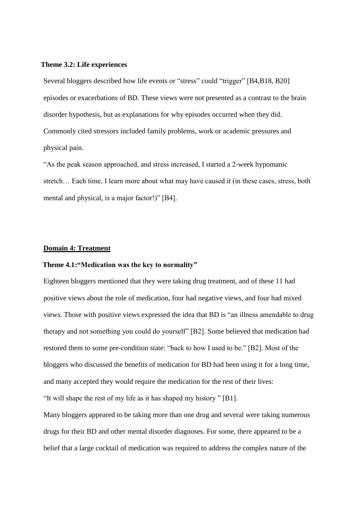#### **Theme 3.2: Life experiences**

Several bloggers described how life events or "stress" could "trigger" [B4,B18, B20] episodes or exacerbations of BD. These views were not presented as a contrast to the brain disorder hypothesis, but as explanations for why episodes occurred when they did. Commonly cited stressors included family problems, work or academic pressures and physical pain.

"As the peak season approached, and stress increased, I started a 2-week hypomanic stretch… Each time, I learn more about what may have caused it (in these cases, stress, both mental and physical, is a major factor!)" [B4].

## **Domain 4: Treatment**

# **Theme 4.1:"Medication was the key to normality"**

Eighteen bloggers mentioned that they were taking drug treatment, and of these 11 had positive views about the role of medication, four had negative views, and four had mixed views. Those with positive views expressed the idea that BD is "an illness amendable to drug therapy and not something you could do yourself" [B2]. Some believed that medication had restored them to some pre-condition state: "back to how I used to be." [B2]. Most of the bloggers who discussed the benefits of medication for BD had been using it for a long time, and many accepted they would require the medication for the rest of their lives: "It will shape the rest of my life as it has shaped my history " [B1].

Many bloggers appeared to be taking more than one drug and several were taking numerous drugs for their BD and other mental disorder diagnoses. For some, there appeared to be a belief that a large cocktail of medication was required to address the complex nature of the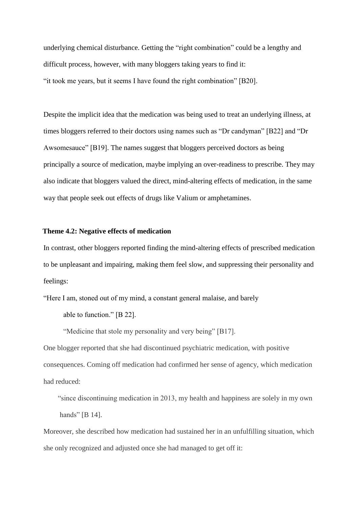underlying chemical disturbance. Getting the "right combination" could be a lengthy and difficult process, however, with many bloggers taking years to find it: "it took me years, but it seems I have found the right combination" [B20].

Despite the implicit idea that the medication was being used to treat an underlying illness, at times bloggers referred to their doctors using names such as "Dr candyman" [B22] and "Dr Awsomesauce" [B19]. The names suggest that bloggers perceived doctors as being principally a source of medication, maybe implying an over-readiness to prescribe. They may also indicate that bloggers valued the direct, mind-altering effects of medication, in the same way that people seek out effects of drugs like Valium or amphetamines.

# **Theme 4.2: Negative effects of medication**

In contrast, other bloggers reported finding the mind-altering effects of prescribed medication to be unpleasant and impairing, making them feel slow, and suppressing their personality and feelings:

"Here I am, stoned out of my mind, a constant general malaise, and barely

able to function." [B 22].

"Medicine that stole my personality and very being" [B17].

One blogger reported that she had discontinued psychiatric medication, with positive consequences. Coming off medication had confirmed her sense of agency, which medication had reduced:

 "since discontinuing medication in 2013, my health and happiness are solely in my own hands" [B 14].

Moreover, she described how medication had sustained her in an unfulfilling situation, which she only recognized and adjusted once she had managed to get off it: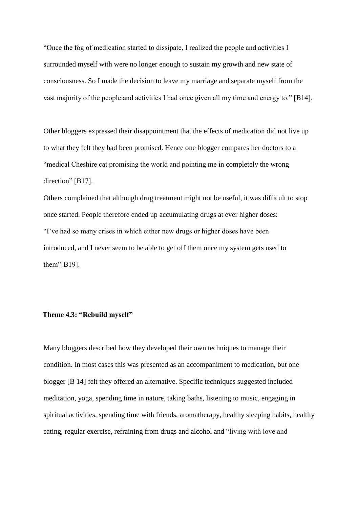"Once the fog of medication started to dissipate, I realized the people and activities I surrounded myself with were no longer enough to sustain my growth and new state of consciousness. So I made the decision to leave my marriage and separate myself from the vast majority of the people and activities I had once given all my time and energy to." [B14].

Other bloggers expressed their disappointment that the effects of medication did not live up to what they felt they had been promised. Hence one blogger compares her doctors to a "medical Cheshire cat promising the world and pointing me in completely the wrong direction" [B17].

Others complained that although drug treatment might not be useful, it was difficult to stop once started. People therefore ended up accumulating drugs at ever higher doses: "I've had so many crises in which either new drugs or higher doses have been introduced, and I never seem to be able to get off them once my system gets used to them"[B19].

# **Theme 4.3: "Rebuild myself"**

Many bloggers described how they developed their own techniques to manage their condition. In most cases this was presented as an accompaniment to medication, but one blogger [B 14] felt they offered an alternative. Specific techniques suggested included meditation, yoga, spending time in nature, taking baths, listening to music, engaging in spiritual activities, spending time with friends, aromatherapy, healthy sleeping habits, healthy eating, regular exercise, refraining from drugs and alcohol and "living with love and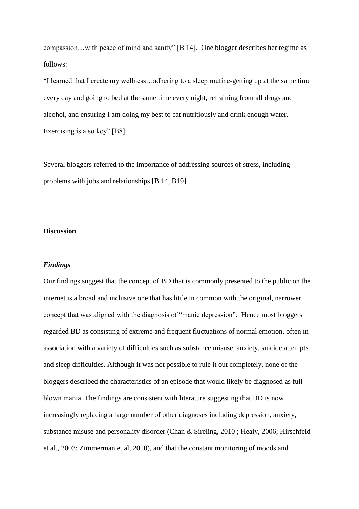compassion…with peace of mind and sanity" [B 14]. One blogger describes her regime as follows:

"I learned that I create my wellness…adhering to a sleep routine-getting up at the same time every day and going to bed at the same time every night, [refraining from all drugs and](http://www.dualdiagnosis.org/mental-health-and-addiction/the-connection/)  [alcohol, a](http://www.dualdiagnosis.org/mental-health-and-addiction/the-connection/)nd ensuring I am doing my best to eat nutritiously and drink enough water. [Exercising](http://www2.nami.org/template.cfm?section=exercise) is also key" [B8].

Several bloggers referred to the importance of addressing sources of stress, including problems with jobs and relationships [B 14, B19].

# **Discussion**

### *Findings*

Our findings suggest that the concept of BD that is commonly presented to the public on the internet is a broad and inclusive one that has little in common with the original, narrower concept that was aligned with the diagnosis of "manic depression". Hence most bloggers regarded BD as consisting of extreme and frequent fluctuations of normal emotion, often in association with a variety of difficulties such as substance misuse, anxiety, suicide attempts and sleep difficulties. Although it was not possible to rule it out completely, none of the bloggers described the characteristics of an episode that would likely be diagnosed as full blown mania. The findings are consistent with literature suggesting that BD is now increasingly replacing a large number of other diagnoses including depression, anxiety, substance misuse and personality disorder (Chan & Sireling, 2010 ; Healy, 2006; Hirschfeld et al., 2003; Zimmerman et al, 2010), and that the constant monitoring of moods and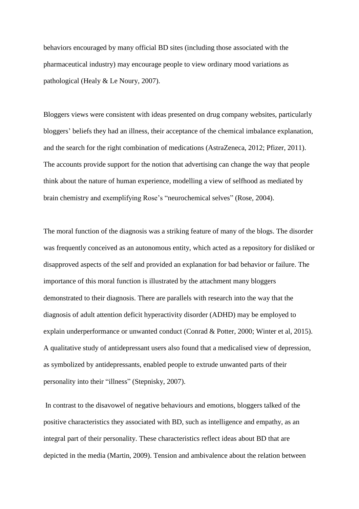behaviors encouraged by many official BD sites (including those associated with the pharmaceutical industry) may encourage people to view ordinary mood variations as pathological (Healy & Le Noury, 2007).

Bloggers views were consistent with ideas presented on drug company websites, particularly bloggers' beliefs they had an illness, their acceptance of the chemical imbalance explanation, and the search for the right combination of medications (AstraZeneca, 2012; Pfizer, 2011). The accounts provide support for the notion that advertising can change the way that people think about the nature of human experience, modelling a view of selfhood as mediated by brain chemistry and exemplifying Rose's "neurochemical selves" (Rose, 2004).

The moral function of the diagnosis was a striking feature of many of the blogs. The disorder was frequently conceived as an autonomous entity, which acted as a repository for disliked or disapproved aspects of the self and provided an explanation for bad behavior or failure. The importance of this moral function is illustrated by the attachment many bloggers demonstrated to their diagnosis. There are parallels with research into the way that the diagnosis of adult attention deficit hyperactivity disorder (ADHD) may be employed to explain underperformance or unwanted conduct (Conrad & Potter, 2000; Winter et al, 2015). A qualitative study of antidepressant users also found that a medicalised view of depression, as symbolized by antidepressants, enabled people to extrude unwanted parts of their personality into their "illness" (Stepnisky, 2007).

In contrast to the disavowel of negative behaviours and emotions, bloggers talked of the positive characteristics they associated with BD, such as intelligence and empathy, as an integral part of their personality. These characteristics reflect ideas about BD that are depicted in the media (Martin, 2009). Tension and ambivalence about the relation between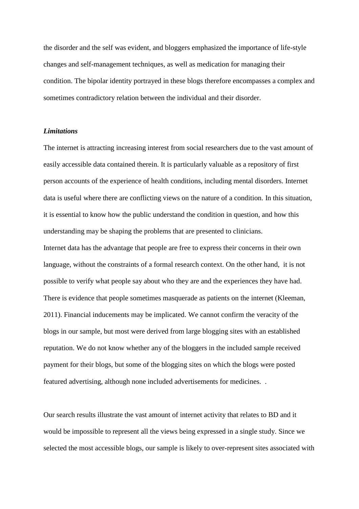the disorder and the self was evident, and bloggers emphasized the importance of life-style changes and self-management techniques, as well as medication for managing their condition. The bipolar identity portrayed in these blogs therefore encompasses a complex and sometimes contradictory relation between the individual and their disorder.

# *Limitations*

The internet is attracting increasing interest from social researchers due to the vast amount of easily accessible data contained therein. It is particularly valuable as a repository of first person accounts of the experience of health conditions, including mental disorders. Internet data is useful where there are conflicting views on the nature of a condition. In this situation, it is essential to know how the public understand the condition in question, and how this understanding may be shaping the problems that are presented to clinicians.

Internet data has the advantage that people are free to express their concerns in their own language, without the constraints of a formal research context. On the other hand, it is not possible to verify what people say about who they are and the experiences they have had. There is evidence that people sometimes masquerade as patients on the internet (Kleeman, 2011). Financial inducements may be implicated. We cannot confirm the veracity of the blogs in our sample, but most were derived from large blogging sites with an established reputation. We do not know whether any of the bloggers in the included sample received payment for their blogs, but some of the blogging sites on which the blogs were posted featured advertising, although none included advertisements for medicines. .

Our search results illustrate the vast amount of internet activity that relates to BD and it would be impossible to represent all the views being expressed in a single study. Since we selected the most accessible blogs, our sample is likely to over-represent sites associated with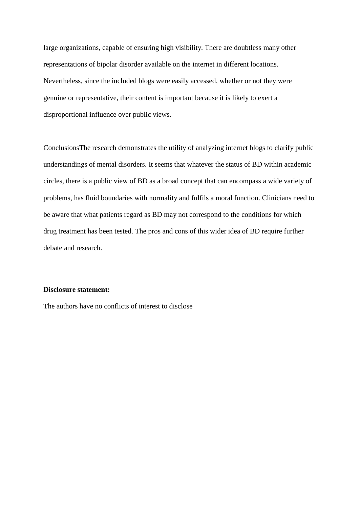large organizations, capable of ensuring high visibility. There are doubtless many other representations of bipolar disorder available on the internet in different locations. Nevertheless, since the included blogs were easily accessed, whether or not they were genuine or representative, their content is important because it is likely to exert a disproportional influence over public views.

ConclusionsThe research demonstrates the utility of analyzing internet blogs to clarify public understandings of mental disorders. It seems that whatever the status of BD within academic circles, there is a public view of BD as a broad concept that can encompass a wide variety of problems, has fluid boundaries with normality and fulfils a moral function. Clinicians need to be aware that what patients regard as BD may not correspond to the conditions for which drug treatment has been tested. The pros and cons of this wider idea of BD require further debate and research.

# **Disclosure statement:**

The authors have no conflicts of interest to disclose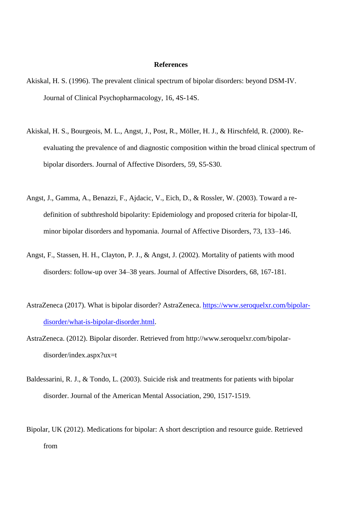## **References**

- Akiskal, H. S. (1996). The prevalent clinical spectrum of bipolar disorders: beyond DSM-IV. Journal of Clinical Psychopharmacology, 16, 4S-14S.
- Akiskal, H. S., Bourgeois, M. L., Angst, J., Post, R., Möller, H. J., & Hirschfeld, R. (2000). Reevaluating the prevalence of and diagnostic composition within the broad clinical spectrum of bipolar disorders. Journal of Affective Disorders, 59, S5-S30.
- Angst, J., Gamma, A., Benazzi, F., Ajdacic, V., Eich, D., & Rossler, W. (2003). Toward a redefinition of subthreshold bipolarity: Epidemiology and proposed criteria for bipolar-II, minor bipolar disorders and hypomania. Journal of Affective Disorders, 73, 133–146.
- Angst, F., Stassen, H. H., Clayton, P. J., & Angst, J. (2002). Mortality of patients with mood disorders: follow-up over 34–38 years. Journal of Affective Disorders, 68, 167-181.
- AstraZeneca (2017). What is bipolar disorder? AstraZeneca. [https://www.seroquelxr.com/bipolar](https://www.seroquelxr.com/bipolar-disorder/what-is-bipolar-disorder.html)[disorder/what-is-bipolar-disorder.html.](https://www.seroquelxr.com/bipolar-disorder/what-is-bipolar-disorder.html)
- AstraZeneca. (2012). Bipolar disorder. Retrieved from http://www.seroquelxr.com/bipolardisorder/index.aspx?ux=t
- Baldessarini, R. J., & Tondo, L. (2003). Suicide risk and treatments for patients with bipolar disorder. Journal of the American Mental Association, 290, 1517-1519.
- Bipolar, UK (2012). Medications for bipolar: A short description and resource guide. Retrieved from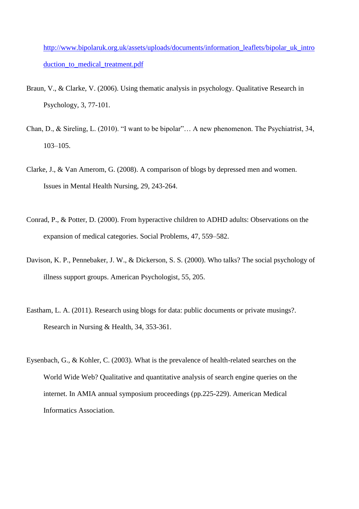[http://www.bipolaruk.org.uk/assets/uploads/documents/information\\_leaflets/bipolar\\_uk\\_intro](http://www.bipolaruk.org.uk/assets/uploads/documents/information_leaflets/bipolar_uk_introduction_to_medical_treatment.pdf) [duction\\_to\\_medical\\_treatment.pdf](http://www.bipolaruk.org.uk/assets/uploads/documents/information_leaflets/bipolar_uk_introduction_to_medical_treatment.pdf)

- Braun, V., & Clarke, V. (2006). Using thematic analysis in psychology. Qualitative Research in Psychology, 3, 77-101.
- Chan, D., & Sireling, L. (2010). "I want to be bipolar"… A new phenomenon. The Psychiatrist, 34, 103–105.
- Clarke, J., & Van Amerom, G. (2008). A comparison of blogs by depressed men and women. Issues in Mental Health Nursing, 29, 243-264.
- Conrad, P., & Potter, D. (2000). From hyperactive children to ADHD adults: Observations on the expansion of medical categories. Social Problems, 47, 559–582.
- Davison, K. P., Pennebaker, J. W., & Dickerson, S. S. (2000). Who talks? The social psychology of illness support groups. American Psychologist, 55, 205.
- Eastham, L. A. (2011). Research using blogs for data: public documents or private musings?. Research in Nursing & Health, 34, 353-361.
- Eysenbach, G., & Kohler, C. (2003). What is the prevalence of health-related searches on the World Wide Web? Qualitative and quantitative analysis of search engine queries on the internet. In AMIA annual symposium proceedings (pp.225-229). American Medical Informatics Association.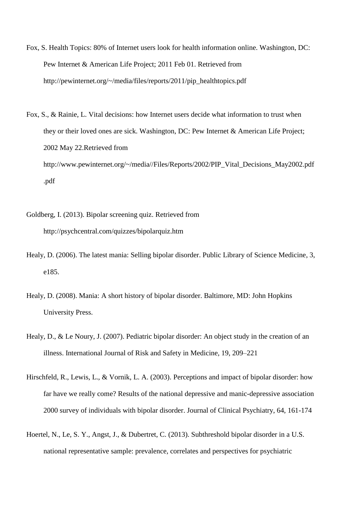- Fox, S. Health Topics: 80% of Internet users look for health information online. Washington, DC: Pew Internet & American Life Project; 2011 Feb 01. Retrieved from [http://pewinternet.org/~/media/files/reports/2011/pip\\_healthtopics.pdf](http://pewinternet.org/~/media/files/reports/2011/pip_healthtopics.pdf)
- Fox, S., & Rainie, L. Vital decisions: how Internet users decide what information to trust when they or their loved ones are sick. Washington, DC: Pew Internet & American Life Project; 2002 May 22.Retrieved from [http://www.pewinternet.org/~/media//Files/Reports/2002/PIP\\_Vital\\_Decisions\\_May2002.pdf](http://www.pewinternet.org/~/media/Files/Reports/2002/PIP_Vital_Decisions_May2002.pdf.pdf) [.pdf](http://www.pewinternet.org/~/media/Files/Reports/2002/PIP_Vital_Decisions_May2002.pdf.pdf)
- Goldberg, I. (2013). Bipolar screening quiz. Retrieved from http://psychcentral.com/quizzes/bipolarquiz.htm
- Healy, D. (2006). The latest mania: Selling bipolar disorder. Public Library of Science Medicine, 3, e185.
- Healy, D. (2008). Mania: A short history of bipolar disorder. Baltimore, MD: John Hopkins University Press.
- Healy, D., & Le Noury, J. (2007). Pediatric bipolar disorder: An object study in the creation of an illness. International Journal of Risk and Safety in Medicine, 19, 209–221
- Hirschfeld, R., Lewis, L., & Vornik, L. A. (2003). Perceptions and impact of bipolar disorder: how far have we really come? Results of the national depressive and manic-depressive association 2000 survey of individuals with bipolar disorder. Journal of Clinical Psychiatry, 64, 161-174
- Hoertel, N., Le, S. Y., Angst, J., & Dubertret, C. (2013). Subthreshold bipolar disorder in a U.S. national representative sample: prevalence, correlates and perspectives for psychiatric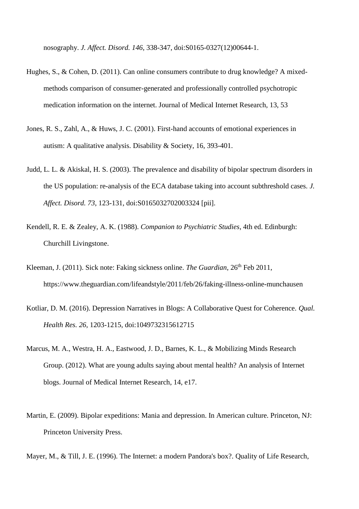nosography. *J. Affect. Disord. 146*, 338-347, doi:S0165-0327(12)00644-1.

- Hughes, S., & Cohen, D. (2011). Can online consumers contribute to drug knowledge? A mixedmethods comparison of consumer-generated and professionally controlled psychotropic medication information on the internet. Journal of Medical Internet Research, 13, 53
- Jones, R. S., Zahl, A., & Huws, J. C. (2001). First-hand accounts of emotional experiences in autism: A qualitative analysis. Disability & Society, 16, 393-401.
- Judd, L. L. & Akiskal, H. S. (2003). The prevalence and disability of bipolar spectrum disorders in the US population: re-analysis of the ECA database taking into account subthreshold cases. *J. Affect. Disord. 73*, 123-131, doi:S0165032702003324 [pii].
- Kendell, R. E. & Zealey, A. K. (1988). *Companion to Psychiatric Studies*, 4th ed. Edinburgh: Churchill Livingstone.
- Kleeman, J. (2011). Sick note: Faking sickness online. *The Guardian*, 26<sup>th</sup> Feb 2011, https://www.theguardian.com/lifeandstyle/2011/feb/26/faking-illness-online-munchausen
- Kotliar, D. M. (2016). Depression Narratives in Blogs: A Collaborative Quest for Coherence. *Qual. Health Res. 26*, 1203-1215, doi:1049732315612715
- Marcus, M. A., Westra, H. A., Eastwood, J. D., Barnes, K. L., & Mobilizing Minds Research Group. (2012). What are young adults saying about mental health? An analysis of Internet blogs. Journal of Medical Internet Research, 14, e17.
- Martin, E. (2009). Bipolar expeditions: Mania and depression. In American culture. Princeton, NJ: Princeton University Press.

Mayer, M., & Till, J. E. (1996). The Internet: a modern Pandora's box?. Quality of Life Research,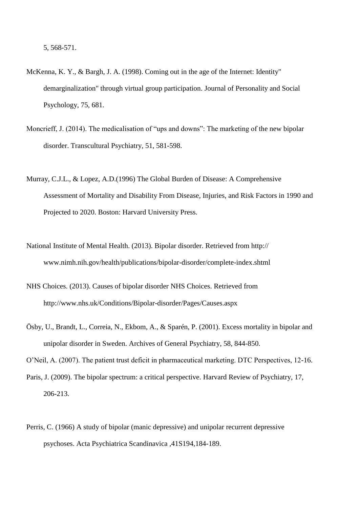- McKenna, K. Y., & Bargh, J. A. (1998). Coming out in the age of the Internet: Identity" demarginalization" through virtual group participation. Journal of Personality and Social Psychology, 75, 681.
- Moncrieff, J. (2014). The medicalisation of "ups and downs": The marketing of the new bipolar disorder. Transcultural Psychiatry, 51, 581-598.
- Murray, C.J.L., & Lopez, A.D.(1996) The Global Burden of Disease: A Comprehensive Assessment of Mortality and Disability From Disease, Injuries, and Risk Factors in 1990 and Projected to 2020. Boston: Harvard University Press.
- National Institute of Mental Health. (2013). Bipolar disorder. Retrieved from http:// www.nimh.nih.gov/health/publications/bipolar-disorder/complete-index.shtml
- NHS Choices. (2013). Causes of bipolar disorder NHS Choices. Retrieved from http://www.nhs.uk/Conditions/Bipolar-disorder/Pages/Causes.aspx
- Ösby, U., Brandt, L., Correia, N., Ekbom, A., & Sparén, P. (2001). Excess mortality in bipolar and unipolar disorder in Sweden. Archives of General Psychiatry, 58, 844-850.

O'Neil, A. (2007). The patient trust deficit in pharmaceutical marketing. DTC Perspectives, 12-16.

- Paris, J. (2009). The bipolar spectrum: a critical perspective. Harvard Review of Psychiatry, 17, 206-213.
- Perris, C. (1966) A study of bipolar (manic depressive) and unipolar recurrent depressive psychoses. Acta Psychiatrica Scandinavica ,41S194,184-189.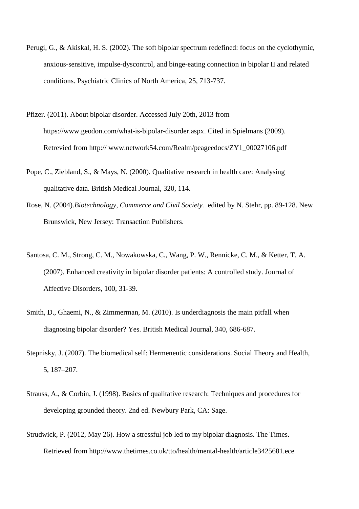- Perugi, G., & Akiskal, H. S. (2002). The soft bipolar spectrum redefined: focus on the cyclothymic, anxious-sensitive, impulse-dyscontrol, and binge-eating connection in bipolar II and related conditions. Psychiatric Clinics of North America, 25, 713-737.
- Pfizer. (2011). About bipolar disorder. Accessed July 20th, 2013 from https://www.geodon.com/what-is-bipolar-disorder.aspx. Cited in Spielmans (2009). Retrevied from http:// www.network54.com/Realm/peageedocs/ZY1\_00027106.pdf
- Pope, C., Ziebland, S., & Mays, N. (2000). Qualitative research in health care: Analysing qualitative data. British Medical Journal, 320, 114.
- Rose, N. (2004).*Biotechnology, Commerce and Civil Society.* edited by N. Stehr, pp. 89-128. New Brunswick, New Jersey: Transaction Publishers.
- Santosa, C. M., Strong, C. M., Nowakowska, C., Wang, P. W., Rennicke, C. M., & Ketter, T. A. (2007). Enhanced creativity in bipolar disorder patients: A controlled study. Journal of Affective Disorders, 100, 31-39.
- Smith, D., Ghaemi, N., & Zimmerman, M. (2010). Is underdiagnosis the main pitfall when diagnosing bipolar disorder? Yes. British Medical Journal, 340, 686-687.
- Stepnisky, J. (2007). The biomedical self: Hermeneutic considerations. Social Theory and Health, 5, 187–207.
- Strauss, A., & Corbin, J. (1998). Basics of qualitative research: Techniques and procedures for developing grounded theory. 2nd ed. Newbury Park, CA: Sage.
- Strudwick, P. (2012, May 26). How a stressful job led to my bipolar diagnosis. The Times. Retrieved from http://www.thetimes.co.uk/tto/health/mental-health/article3425681.ece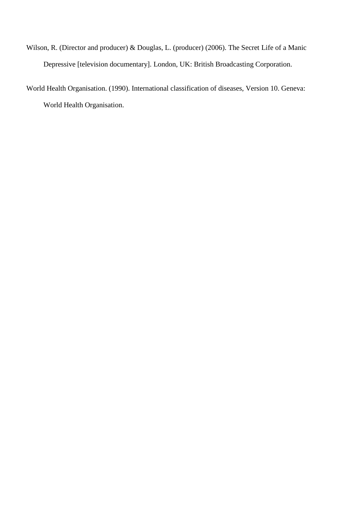- Wilson, R. (Director and producer) & Douglas, L. (producer) (2006). The Secret Life of a Manic Depressive [television documentary]. London, UK: British Broadcasting Corporation.
- World Health Organisation. (1990). International classification of diseases, Version 10. Geneva: World Health Organisation.